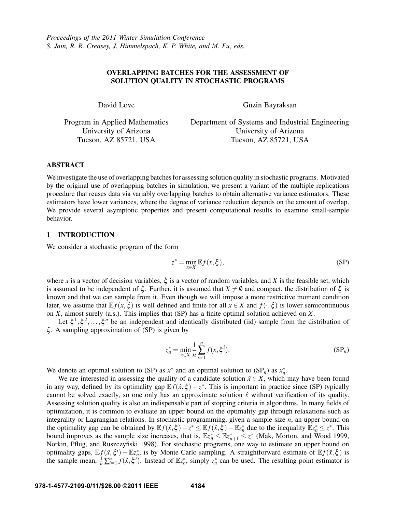# OVERLAPPING BATCHES FOR THE ASSESSMENT OF SOLUTION QUALITY IN STOCHASTIC PROGRAMS

David Love

Güzin Bayraksan

Program in Applied Mathematics University of Arizona Tucson, AZ 85721, USA

Department of Systems and Industrial Engineering University of Arizona Tucson, AZ 85721, USA

# ABSTRACT

We investigate the use of overlapping batches for assessing solution quality in stochastic programs. Motivated by the original use of overlapping batches in simulation, we present a variant of the multiple replications procedure that reuses data via variably overlapping batches to obtain alternative variance estimators. These estimators have lower variances, where the degree of variance reduction depends on the amount of overlap. We provide several asymptotic properties and present computational results to examine small-sample behavior.

# 1 INTRODUCTION

We consider a stochastic program of the form

$$
z^* = \min_{x \in X} \mathbb{E} f(x, \xi),\tag{SP}
$$

where *x* is a vector of decision variables,  $\xi$  is a vector of random variables, and *X* is the feasible set, which is assumed to be independent of  $\xi$ . Further, it is assumed that  $X \neq \emptyset$  and compact, the distribution of  $\xi$  is known and that we can sample from it. Even though we will impose a more restrictive moment condition later, we assume that  $E f(x,\xi)$  is well defined and finite for all  $x \in X$  and  $f(\cdot,\xi)$  is lower semicontinuous on *X*, almost surely (a.s.). This implies that (SP) has a finite optimal solution achieved on *X*.

Let  $\xi^1, \xi^2, \ldots, \xi^n$  be an independent and identically distributed (iid) sample from the distribution of ξ . A sampling approximation of (SP) is given by

$$
z_n^* = \min_{x \in X} \frac{1}{n} \sum_{i=1}^n f(x, \xi^i).
$$
 (SP<sub>n</sub>)

We denote an optimal solution to (SP) as  $x^*$  and an optimal solution to (SP<sub>n</sub>) as  $x_n^*$ .

We are interested in assessing the quality of a candidate solution  $\hat{x} \in X$ , which may have been found in any way, defined by its optimality gap  $\mathbb{E} f(\hat{x}, \xi) - z^*$ . This is important in practice since (SP) typically cannot be solved exactly, so one only has an approximate solution  $\hat{x}$  without verification of its quality. Assessing solution quality is also an indispensable part of stopping criteria in algorithms. In many fields of optimization, it is common to evaluate an upper bound on the optimality gap through relaxations such as integrality or Lagrangian relations. In stochastic programming, given a sample size *n*, an upper bound on the optimality gap can be obtained by  $\mathbb{E} f(\hat{x}, \xi) - z^* \leq \mathbb{E} f(\hat{x}, \xi) - \mathbb{E} z_n^*$  due to the inequality  $\mathbb{E} z_n^* \leq z^*$ . This bound improves as the sample size increases, that is,  $\mathbb{E}z_n^* \leq \mathbb{E}z_{n+1}^* \leq z^*$  (Mak, Morton, and Wood 1999, Norkin, Pflug, and Ruszczyński 1998). For stochastic programs, one way to estimate an upper bound on optimality gaps,  $\mathbb{E} f(\hat{x}, \xi^i) - \mathbb{E} z_n^*$ , is by Monte Carlo sampling. A straightforward estimate of  $\mathbb{E} f(\hat{x}, \xi)$  is the sample mean,  $\frac{1}{n} \sum_{i=1}^{n} f(\hat{x}, \xi^i)$ . Instead of  $\mathbb{E}z_n^*$ , simply  $z_n^*$  can be used. The resulting point estimator is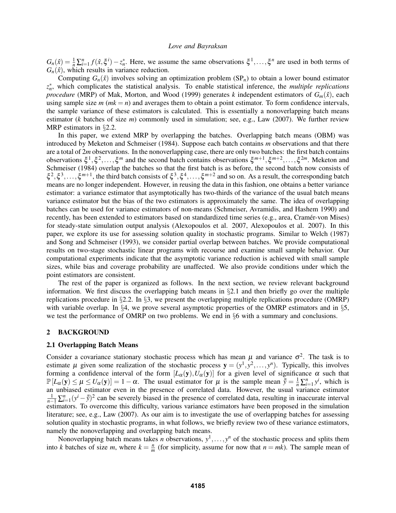$G_n(\hat{x}) = \frac{1}{n} \sum_{i=1}^n f(\hat{x}, \xi^i) - z_n^*$ . Here, we assume the same observations  $\xi^1, \ldots, \xi^n$  are used in both terms of  $G_n(\hat{x})$ , which results in variance reduction.

Computing  $G_n(\hat{x})$  involves solving an optimization problem  $(SP_n)$  to obtain a lower bound estimator *z* ∗ *n* , which complicates the statistical analysis. To enable statistical inference, the *multiple replications procedure* (MRP) of Mak, Morton, and Wood (1999) generates *k* independent estimators of  $G_m(\hat{x})$ , each using sample size  $m$  ( $mk = n$ ) and averages them to obtain a point estimator. To form confidence intervals, the sample variance of these estimators is calculated. This is essentially a nonoverlapping batch means estimator (*k* batches of size *m*) commonly used in simulation; see, e.g., Law (2007). We further review MRP estimators in §2.2.

In this paper, we extend MRP by overlapping the batches. Overlapping batch means (OBM) was introduced by Meketon and Schmeiser (1984). Suppose each batch contains *m* observations and that there are a total of 2*m* observations. In the nonoverlapping case, there are only two batches: the first batch contains observations  $\xi^1, \xi^2, \ldots, \xi^m$  and the second batch contains observations  $\xi^{m+1}, \xi^{m+2}, \ldots, \xi^{2m}$ . Meketon and Schmeiser (1984) overlap the batches so that the first batch is as before, the second batch now consists of  $\xi^2, \xi^3, \ldots, \xi^{m+1}$ , the third batch consists of  $\xi^3, \xi^4, \ldots, \xi^{m+2}$  and so on. As a result, the corresponding batch means are no longer independent. However, in reusing the data in this fashion, one obtains a better variance estimator: a variance estimator that asymptotically has two-thirds of the variance of the usual batch means variance estimator but the bias of the two estimators is approximately the same. The idea of overlapping batches can be used for variance estimators of non-means (Schmeiser, Avramidis, and Hashem 1990) and recently, has been extended to estimators based on standardized time series (e.g., area, Cramér-von Mises) for steady-state simulation output analysis (Alexopoulos et al. 2007, Alexopoulos et al. 2007). In this paper, we explore its use for assessing solution quality in stochastic programs. Similar to Welch (1987) and Song and Schmeiser (1993), we consider partial overlap between batches. We provide computational results on two-stage stochastic linear programs with recourse and examine small sample behavior. Our computational experiments indicate that the asymptotic variance reduction is achieved with small sample sizes, while bias and coverage probability are unaffected. We also provide conditions under which the point estimators are consistent.

The rest of the paper is organized as follows. In the next section, we review relevant background information. We first discuss the overlapping batch means in §2.1 and then briefly go over the multiple replications procedure in §2.2. In §3, we present the overlapping multiple replications procedure (OMRP) with variable overlap. In §4, we prove several asymptotic properties of the OMRP estimators and in §5, we test the performance of OMRP on two problems. We end in §6 with a summary and conclusions.

### 2 BACKGROUND

#### 2.1 Overlapping Batch Means

Consider a covariance stationary stochastic process which has mean  $\mu$  and variance  $\sigma^2$ . The task is to estimate  $\mu$  given some realization of the stochastic process  $y = (y^1, y^2, \dots, y^n)$ . Typically, this involves forming a confidence interval of the form  $[L_\alpha(y), U_\alpha(y)]$  for a given level of significance  $\alpha$  such that  $\mathbb{P}[L_{\alpha}(y) \leq \mu \leq U_{\alpha}(y)] = 1 - \alpha$ . The usual estimator for  $\mu$  is the sample mean  $\overline{\overline{y}} = \frac{1}{n} \sum_{i=1}^{n} y^{i}$ , which is  $\mu \leq \mu \leq \alpha(y) \leq \mu \leq \alpha(y) = 1 - \alpha$ . The usual estimator for  $\mu$  is the sample mean  $y = \frac{\pi}{n} \sum_{i=1}^{n} y$ , which is<br>an unbiased estimator even in the presence of correlated data. However, the usual variance estimator<br> $\$ estimators. To overcome this difficulty, various variance estimators have been proposed in the simulation literature; see, e.g., Law (2007). As our aim is to investigate the use of overlapping batches for assessing solution quality in stochastic programs, in what follows, we briefly review two of these variance estimators, namely the nonoverlapping and overlapping batch means.

Nonoverlapping batch means takes *n* observations,  $y^1, \ldots, y^n$  of the stochastic process and splits them into *k* batches of size *m*, where  $k = \frac{n}{m}$  $\frac{n}{m}$  (for simplicity, assume for now that  $n = mk$ ). The sample mean of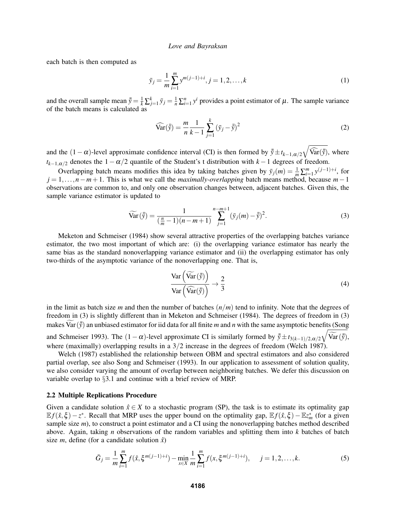each batch is then computed as

$$
\bar{y}_j = \frac{1}{m} \sum_{i=1}^m y^{m(j-1)+i}, j = 1, 2, \dots, k
$$
 (1)

and the overall sample mean  $\bar{y} = \frac{1}{k} \sum_{j=1}^{k} y_j = \frac{1}{n} \sum_{i=1}^{n} y^i$  provides a point estimator of  $\mu$ . The sample variance of the batch means is calculated as

$$
\widehat{\text{Var}}(\bar{y}) = \frac{m}{n} \frac{1}{k-1} \sum_{j=1}^{k} (\bar{y}_j - \bar{\bar{y}})^2
$$
 (2)

and the  $(1-\alpha)$ -level approximate confidence interval (CI) is then formed by  $\bar{y} \pm t_{k-1,\alpha/2} \sqrt{\widehat{\text{Var}}(\bar{y})}$ , where  $t_{k-1,\alpha/2}$  denotes the 1 -  $\alpha/2$  quantile of the Student's t distribution with  $k-1$  degrees of freedom.

Overlapping batch means modifies this idea by taking batches given by  $\bar{y}_j(m) = \frac{1}{m} \sum_{i=1}^m y^{(j-1)+i}$ , for *j* = 1,...,*n*−*m*+1. This is what we call the *maximally-overlapping* batch means method, because *m*−1 observations are common to, and only one observation changes between, adjacent batches. Given this, the sample variance estimator is updated to

$$
\widetilde{\text{Var}}(\bar{\bar{y}}) = \frac{1}{(\frac{n}{m}-1)(n-m+1)} \sum_{j=1}^{n-m+1} (\bar{y}_j(m) - \bar{\bar{y}})^2.
$$
 (3)

Meketon and Schmeiser (1984) show several attractive properties of the overlapping batches variance estimator, the two most important of which are: (i) the overlapping variance estimator has nearly the same bias as the standard nonoverlapping variance estimator and (ii) the overlapping estimator has only two-thirds of the asymptotic variance of the nonoverlapping one. That is,

$$
\frac{\text{Var}\left(\widehat{\text{Var}}(\bar{\bar{y}})\right)}{\text{Var}\left(\widehat{\text{Var}}(\bar{\bar{y}})\right)} \to \frac{2}{3} \tag{4}
$$

in the limit as batch size *m* and then the number of batches (*n*/*m*) tend to infinity. Note that the degrees of freedom in (3) is slightly different than in Meketon and Schmeiser (1984). The degrees of freedom in (3) makes Var  $(\bar{y})$  an unbiased estimator for iid data for all finite *m* and *n* with the same asymptotic benefits (Song and Schmeiser 1993). The  $(1 - \alpha)$ -level approximate CI is similarly formed by  $\bar{y} \pm t_{3(k-1)/2, \alpha/2} \sqrt{\widehat{Var}(\bar{y})}$ , where (maximally) overlapping results in a  $3/2$  increase in the degrees of freedom (Welch 1987).

Welch (1987) established the relationship between OBM and spectral estimators and also considered partial overlap, see also Song and Schmeiser (1993). In our application to assessment of solution quality, we also consider varying the amount of overlap between neighboring batches. We defer this discussion on variable overlap to §3.1 and continue with a brief review of MRP.

### 2.2 Multiple Replications Procedure

Given a candidate solution  $\hat{x} \in X$  to a stochastic program (SP), the task is to estimate its optimality gap  $\mathbb{E}f(\hat{x}, \xi) - z^*$ . Recall that MRP uses the upper bound on the optimality gap,  $\mathbb{E}f(\hat{x}, \xi) - \mathbb{E}z_m^*$  (for a given sample size *m*), to construct a point estimator and a CI using the nonoverlapping batches method described above. Again, taking *n* observations of the random variables and splitting them into *k* batches of batch size *m*, define (for a candidate solution  $\hat{x}$ )

$$
\bar{G}_j = \frac{1}{m} \sum_{i=1}^m f(\hat{x}, \xi^{m(j-1)+i}) - \min_{x \in X} \frac{1}{m} \sum_{i=1}^m f(x, \xi^{m(j-1)+i}), \quad j = 1, 2, \dots, k. \tag{5}
$$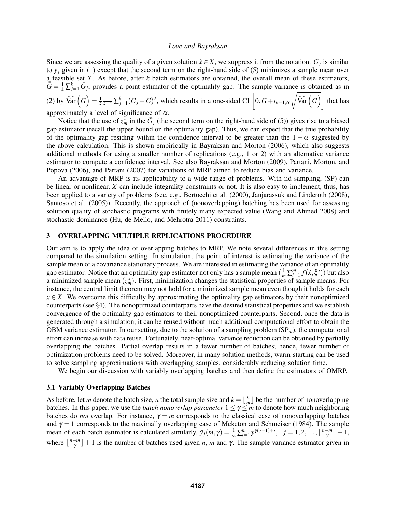Since we are assessing the quality of a given solution  $\hat{x} \in X$ , we suppress it from the notation.  $\bar{G}_j$  is similar to  $\bar{y}_j$  given in (1) except that the second term on the right-hand side of (5) minimizes a sample mean over a feasible set *X*. As before, after *k* batch estimators are obtained, the overall mean of these estimators,  $\bar{\bar{G}} = \frac{1}{k} \sum_{j=1}^{k} \bar{G}_j$ , provides a point estimator of the optimality gap. The sample variance is obtained as in (2) by  $\widehat{\text{Var}}\left(\bar{\bar{G}}\right) = \frac{1}{k} \frac{1}{k-1} \sum_{j=1}^{k} (\bar{G}_j - \bar{\bar{G}})^2$ , which results in a one-sided CI  $\left[0, \bar{\bar{G}} + t_{k-1, \alpha} \sqrt{\frac{1}{k-1} \sum_{j=1}^{k} (\bar{G}_j - \bar{\bar{G}})^2}\right]$  $\widehat{\text{Var}\left(\bar{G}\right)}$  that has approximately a level of significance of  $\alpha$ .

Notice that the use of  $z_m^*$  in the  $\bar{G}_j$  (the second term on the right-hand side of (5)) gives rise to a biased gap estimator (recall the upper bound on the optimality gap). Thus, we can expect that the true probability of the optimality gap residing within the confidence interval to be greater than the  $1 - \alpha$  suggested by the above calculation. This is shown empirically in Bayraksan and Morton (2006), which also suggests additional methods for using a smaller number of replications (e.g., 1 or 2) with an alternative variance estimator to compute a confidence interval. See also Bayraksan and Morton (2009), Partani, Morton, and Popova (2006), and Partani (2007) for variations of MRP aimed to reduce bias and variance.

An advantage of MRP is its applicability to a wide range of problems. With iid sampling, (SP) can be linear or nonlinear, *X* can include integrality constraints or not. It is also easy to implement, thus, has been applied to a variety of problems (see, e.g., Bertocchi et al. (2000), Janjarassuk and Linderoth (2008), Santoso et al. (2005)). Recently, the approach of (nonoverlapping) batching has been used for assessing solution quality of stochastic programs with finitely many expected value (Wang and Ahmed 2008) and stochastic dominance (Hu, de Mello, and Mehrotra 2011) constraints.

### 3 OVERLAPPING MULTIPLE REPLICATIONS PROCEDURE

Our aim is to apply the idea of overlapping batches to MRP. We note several differences in this setting compared to the simulation setting. In simulation, the point of interest is estimating the variance of the sample mean of a covariance stationary process. We are interested in estimating the variance of an optimality gap estimator. Notice that an optimality gap estimator not only has a sample mean  $(\frac{1}{m}\sum_{i=1}^{m}f(\hat{x},\xi^i))$  but also a minimized sample mean  $(z_m^*)$ . First, minimization changes the statistical properties of sample means. For instance, the central limit theorem may not hold for a minimized sample mean even though it holds for each  $x \in X$ . We overcome this difficulty by approximating the optimality gap estimators by their nonoptimized counterparts (see §4). The nonoptimized counterparts have the desired statistical properties and we establish convergence of the optimality gap estimators to their nonoptimized counterparts. Second, once the data is generated through a simulation, it can be reused without much additional computational effort to obtain the OBM variance estimator. In our setting, due to the solution of a sampling problem (SP*m*), the computational effort can increase with data reuse. Fortunately, near-optimal variance reduction can be obtained by partially overlapping the batches. Partial overlap results in a fewer number of batches; hence, fewer number of optimization problems need to be solved. Moreover, in many solution methods, warm-starting can be used to solve sampling approximations with overlapping samples, considerably reducing solution time.

We begin our discussion with variably overlapping batches and then define the estimators of OMRP.

#### 3.1 Variably Overlapping Batches

As before, let *m* denote the batch size, *n* the total sample size and  $k = \frac{h}{n}$  $\frac{n}{m}$  be the number of nonoverlapping batches. In this paper, we use the *batch nonoverlap parameter*  $1 \leq \gamma \leq m$  to denote how much neighboring batches do *not* overlap. For instance,  $\gamma = m$  corresponds to the classical case of nonoverlapping batches and  $\gamma = 1$  corresponds to the maximally overlapping case of Meketon and Schmeiser (1984). The sample mean of each batch estimator is calculated similarly,  $\bar{y}_j(m, \gamma) = \frac{1}{m} \sum_{i=1}^m y^{\gamma(j-1)+i}$ ,  $j = 1, 2, \dots, \lfloor \frac{n-m}{\gamma} \rfloor$  $\frac{-m}{\gamma}$ ] + 1, where  $\frac{n-m}{\gamma}$  $\left[\frac{-m}{\gamma}\right] + 1$  is the number of batches used given *n*, *m* and  $\gamma$ . The sample variance estimator given in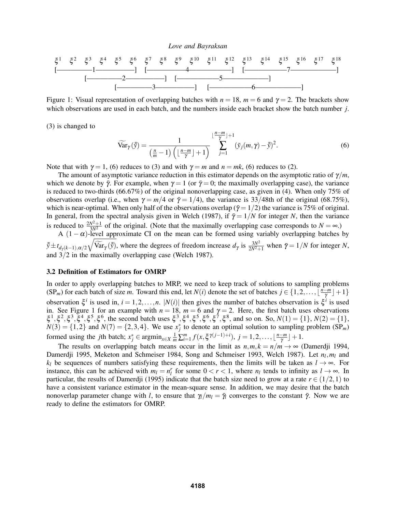ξ <sup>1</sup> ξ <sup>2</sup> ξ <sup>3</sup> ξ <sup>4</sup> ξ <sup>5</sup> ξ <sup>6</sup> ξ <sup>7</sup> ξ <sup>8</sup> ξ <sup>9</sup> ξ <sup>10</sup> ξ <sup>11</sup> ξ <sup>12</sup> ξ <sup>13</sup> ξ <sup>14</sup> ξ <sup>15</sup> ξ <sup>16</sup> ξ <sup>17</sup> ξ 18 [—————1—————–] [—————–4——————] [——————7——————–] [—————2—————–] [——————5——————–] [—————3—————–] [——————6——————–]

Figure 1: Visual representation of overlapping batches with  $n = 18$ ,  $m = 6$  and  $\gamma = 2$ . The brackets show which observations are used in each batch, and the numbers inside each bracket show the batch number *j*.

(3) is changed to

$$
\widetilde{\text{Var}}_{\gamma}(\bar{\bar{y}}) = \frac{1}{\left(\frac{n}{m}-1\right)\left(\lfloor\frac{n-m}{\gamma}\rfloor+1\right)} \sum_{j=1}^{\lfloor\frac{n-m}{\gamma}\rfloor+1} (\bar{y}_j(m,\gamma)-\bar{\bar{y}})^2. \tag{6}
$$

Note that with  $\gamma = 1$ , (6) reduces to (3) and with  $\gamma = m$  and  $n = mk$ , (6) reduces to (2).

The amount of asymptotic variance reduction in this estimator depends on the asymptotic ratio of  $\gamma/m$ , which we denote by  $\bar{\gamma}$ . For example, when  $\gamma = 1$  (or  $\bar{\gamma} = 0$ ; the maximally overlapping case), the variance is reduced to two-thirds (66.67%) of the original nonoverlapping case, as given in (4). When only 75% of observations overlap (i.e., when  $\gamma = m/4$  or  $\bar{\gamma} = 1/4$ ), the variance is 33/48th of the original (68.75%), which is near-optimal. When only half of the observations overlap ( $\bar{\gamma}$  = 1/2) the variance is 75% of original. In general, from the spectral analysis given in Welch (1987), if  $\bar{\gamma} = 1/N$  for integer *N*, then the variance is reduced to  $\frac{2N^2+1}{3N^2}$  of the original. (Note that the maximally overlapping case corresponds to  $N = \infty$ .)

A  $(1 - \alpha)$ -level approximate CI on the mean can be formed using variably overlapping batches by  $\overline{\overline{y}} \pm t_{d_{\gamma}(k-1),\alpha/2} \sqrt{\widetilde{\text{Var}}_{\gamma}(\overline{\overline{y}})}$ , where the degrees of freedom increase  $d_{\gamma}$  is  $\frac{3N^2}{2N^2+1}$  $\frac{3N^2}{2N^2+1}$  when  $\bar{\gamma} = 1/N$  for integer *N*, and 3/2 in the maximally overlapping case (Welch 1987).

#### 3.2 Definition of Estimators for OMRP

In order to apply overlapping batches to MRP, we need to keep track of solutions to sampling problems  $(SP_m)$  for each batch of size *m*. Toward this end, let *N*(*i*) denote the set of batches  $j \in \{1, 2, \ldots, \lfloor \frac{n-m}{\gamma} \rfloor\}$  $\frac{-m}{\gamma}$ ] + 1 } observation  $\xi^i$  is used in,  $i = 1, 2, ..., n$ .  $|N(i)|$  then gives the number of batches observation is  $\xi^i$  is used in. See Figure 1 for an example with  $n = 18$ ,  $m = 6$  and  $\gamma = 2$ . Here, the first batch uses observations  $\xi^{1}, \xi^{2}, \xi^{3}, \xi^{4}, \xi^{5}, \xi^{6}$ , the second batch uses  $\xi^{3}, \xi^{4}, \xi^{5}, \xi^{6}, \xi^{7}, \xi^{8}$ , and so on. So,  $N(1) = \{1\}$ ,  $N(2) = \{1\}$ ,  $N(3) = \{1,2\}$  and  $N(7) = \{2,3,4\}$ . We use  $x_j^*$  to denote an optimal solution to sampling problem (SP<sub>*m*</sub>) formed using the *j*th batch;  $x_j^* \in \text{argmin}_{x \in X} \frac{1}{m} \sum_{i=1}^m f(x, \xi^{\gamma(j-1)+i}), j = 1, 2, \ldots, \lfloor \frac{n-m}{\gamma} \rfloor$  $\frac{-m}{\gamma}$  | + 1.

The results on overlapping batch means occur in the limit as  $n,m, k = n/m \rightarrow \infty$  (Damerdji 1994, Damerdji 1995, Meketon and Schmeiser 1984, Song and Schmeiser 1993, Welch 1987). Let  $n_l, m_l$  and *k*<sub>*l*</sub> be sequences of numbers satisfying these requirements, then the limits will be taken as  $l \rightarrow \infty$ . For instance, this can be achieved with  $m_l = n_l^r$  for some  $0 < r < 1$ , where  $n_l$  tends to infinity as  $l \to \infty$ . In particular, the results of Damerdji (1995) indicate that the batch size need to grow at a rate  $r \in (1/2, 1)$  to have a consistent variance estimator in the mean-square sense. In addition, we may desire that the batch nonoverlap parameter change with *l*, to ensure that  $\gamma/m_l = \bar{\gamma}_l$  converges to the constant  $\bar{\gamma}$ . Now we are ready to define the estimators for OMRP.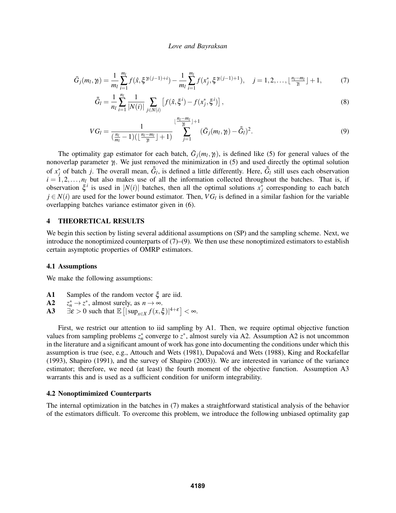$$
\bar{G}_j(m_l, \gamma_l) = \frac{1}{m_l} \sum_{i=1}^{m_l} f(\hat{x}, \xi^{\gamma_l(j-1)+i}) - \frac{1}{m_l} \sum_{i=1}^{m_l} f(x_j^*, \xi^{\gamma_l(j-1)+1}), \quad j = 1, 2, \dots, \lfloor \frac{n_l - m_l}{\gamma} \rfloor + 1, \tag{7}
$$

$$
\bar{\bar{G}}_l = \frac{1}{n_l} \sum_{i=1}^{n_l} \frac{1}{|N(i)|} \sum_{j \in N(i)} \left[ f(\hat{x}, \xi^i) - f(x_j^*, \xi^i) \right],\tag{8}
$$

$$
VG_{l} = \frac{1}{(\frac{n_{l}}{m_{l}}-1)(\lfloor \frac{n_{l}-m_{l}}{\gamma} \rfloor+1)} \sum_{j=1}^{\lfloor \frac{n_{l}-m_{l}}{\gamma} \rfloor+1} (\bar{G}_{j}(m_{l},\gamma_{l}) - \bar{\bar{G}}_{l})^{2}.
$$
\n(9)

The optimality gap estimator for each batch,  $\bar{G}_j(m_l, \gamma_l)$ , is defined like (5) for general values of the nonoverlap parameter γ*<sup>l</sup>* . We just removed the minimization in (5) and used directly the optimal solution of  $x_j^*$  of batch *j*. The overall mean,  $\bar{G}_l$ , is defined a little differently. Here,  $\bar{G}_l$  still uses each observation  $i = 1, 2, \ldots, n_l$  but also makes use of all the information collected throughout the batches. That is, if observation  $\xi^i$  is used in  $|N(i)|$  batches, then all the optimal solutions  $x_j^*$  corresponding to each batch  $j \in N(i)$  are used for the lower bound estimator. Then,  $VG<sub>l</sub>$  is defined in a similar fashion for the variable overlapping batches variance estimator given in (6).

# 4 THEORETICAL RESULTS

We begin this section by listing several additional assumptions on (SP) and the sampling scheme. Next, we introduce the nonoptimized counterparts of  $(7)$ – $(9)$ . We then use these nonoptimized estimators to establish certain asymptotic properties of OMRP estimators.

#### 4.1 Assumptions

We make the following assumptions:

- A1 Samples of the random vector ξ are iid.
- A2 *z*  $n_n^* \to z^*$ , almost surely, as  $n \to \infty$ .
- A3  $\exists \varepsilon > 0$  such that  $\mathbb{E} \left[ |\sup_{x \in X} f(x, \xi)|^{4+\varepsilon} \right] < \infty$ .

First, we restrict our attention to iid sampling by A1. Then, we require optimal objective function values from sampling problems  $z_n^*$  converge to  $z^*$ , almost surely via A2. Assumption A2 is not uncommon in the literature and a significant amount of work has gone into documenting the conditions under which this assumption is true (see, e.g., Attouch and Wets (1981), Dupačová and Wets (1988), King and Rockafellar (1993), Shapiro (1991), and the survey of Shapiro (2003)). We are interested in variance of the variance estimator; therefore, we need (at least) the fourth moment of the objective function. Assumption A3 warrants this and is used as a sufficient condition for uniform integrability.

#### 4.2 Nonoptimimized Counterparts

The internal optimization in the batches in (7) makes a straightforward statistical analysis of the behavior of the estimators difficult. To overcome this problem, we introduce the following unbiased optimality gap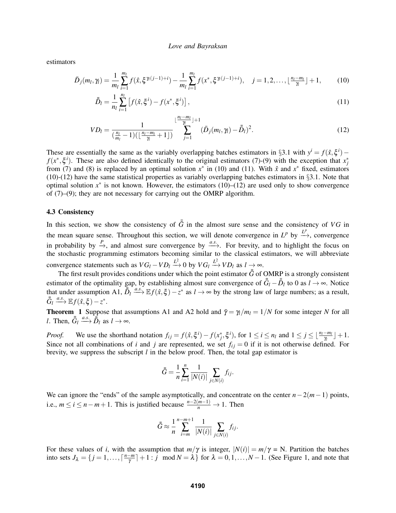estimators

$$
\bar{D}_j(m_l, \gamma_l) = \frac{1}{m_l} \sum_{i=1}^{m_l} f(\hat{x}, \xi^{\gamma_l(j-1)+i}) - \frac{1}{m_l} \sum_{i=1}^{m_l} f(x^*, \xi^{\gamma_l(j-1)+i}), \quad j = 1, 2, \dots, \lfloor \frac{n_l - m_l}{\gamma} \rfloor + 1,\tag{10}
$$

$$
\bar{\bar{D}}_l = \frac{1}{n_l} \sum_{i=1}^{n_l} \left[ f(\hat{x}, \xi^i) - f(x^*, \xi^i) \right],\tag{11}
$$

$$
VD_{l} = \frac{1}{(\frac{n_{l}}{m_{l}} - 1)(\lfloor \frac{n_{l} - m_{l}}{\gamma} + 1 \rfloor)} \sum_{j=1}^{\lfloor \frac{n_{l} - m_{l}}{\gamma} \rfloor + 1} (\bar{D}_{j}(m_{l}, \gamma_{l}) - \bar{\bar{D}}_{l})^{2}.
$$
 (12)

These are essentially the same as the variably overlapping batches estimators in §3.1 with  $y^i = f(\hat{x}, \xi^i)$  –  $f(x^*, \xi^i)$ . These are also defined identically to the original estimators (7)-(9) with the exception that  $x_j^*$ from (7) and (8) is replaced by an optimal solution  $x^*$  in (10) and (11). With  $\hat{x}$  and  $x^*$  fixed, estimators  $(10)-(12)$  have the same statistical properties as variably overlapping batches estimators in §3.1. Note that optimal solution  $x^*$  is not known. However, the estimators (10)–(12) are used only to show convergence of (7)–(9); they are not necessary for carrying out the OMRP algorithm.

# 4.3 Consistency

In this section, we show the consistency of  $\bar{G}$  in the almost sure sense and the consistency of *VG* in the mean square sense. Throughout this section, we will denote convergence in  $L^p$  by  $\stackrel{L^p}{\longrightarrow}$ , convergence in probability by  $\stackrel{P}{\to}$ , and almost sure convergence by  $\stackrel{a.s.}{\longrightarrow}$ . For brevity, and to highlight the focus on the stochastic programming estimators becoming similar to the classical estimators, we will abbreviate convergence statements such as  $VG_l - V D_l \xrightarrow{L^2} 0$  by  $VG_l \xrightarrow{L^2} V D_l$  as  $l \rightarrow \infty$ .

The first result provides conditions under which the point estimator  $\bar{\bar{G}}$  of OMRP is a strongly consistent estimator of the optimality gap, by establishing almost sure convergence of  $\bar{\bar{G}}_l - \bar{\bar{D}}_l$  to 0 as  $l \to \infty$ . Notice that under assumption A1,  $\overline{B}_l \xrightarrow{a.s.} \mathbb{E} f(\hat{x}, \xi) - z^*$  as  $l \to \infty$  by the strong law of large numbers; as a result,  $\bar{G}_l \xrightarrow{a.s.} \mathbb{E} f(\hat{x}, \xi) - z^*.$ 

**Theorem 1** Suppose that assumptions A1 and A2 hold and  $\bar{\gamma} = \gamma_l/m_l = 1/N$  for some integer *N* for all *l*. Then,  $\overline{\overline{G}}_l \xrightarrow{a.s.} \overline{\overline{B}}_l$  as  $l \to \infty$ .

*Proof.* We use the shorthand notation  $f_{ij} = f(\hat{x}, \xi^i) - f(x_j^*, \xi^i)$ , for  $1 \le i \le n_l$  and  $1 \le j \le \lfloor \frac{n_l - m_l}{\gamma} \rfloor + 1$ . Since not all combinations of *i* and *j* are represented, we set  $f_{ij} = 0$  if it is not otherwise defined. For brevity, we suppress the subscript *l* in the below proof. Then, the total gap estimator is

$$
\bar{\bar{G}} = \frac{1}{n} \sum_{i=1}^{n} \frac{1}{|N(i)|} \sum_{j \in N(i)} f_{ij}.
$$

We can ignore the "ends" of the sample asymptotically, and concentrate on the center *n*−2(*m*−1) points, i.e.,  $m \le i \le n - m + 1$ . This is justified because  $\frac{n - 2(m-1)}{n} \to 1$ . Then

$$
\bar{\bar{G}} \approx \frac{1}{n} \sum_{i=m}^{n-m+1} \frac{1}{|N(i)|} \sum_{j \in N(i)} f_{ij}.
$$

For these values of *i*, with the assumption that  $m/\gamma$  is integer,  $|N(i)| = m/\gamma = N$ . Partition the batches into sets  $J_{\lambda} = \{j = 1, \ldots, \lceil \frac{n-m}{\gamma} \rceil \}$  $\left[\frac{-m}{\gamma}\right] + 1$ : *j* mod  $N = \lambda$  for  $\lambda = 0, 1, ..., N - 1$ . (See Figure 1, and note that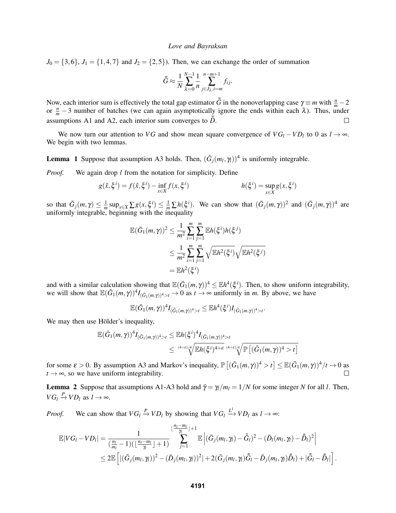$J_0 = \{3, 6\}, J_1 = \{1, 4, 7\}$  and  $J_2 = \{2, 5\}$ ). Then, we can exchange the order of summation

$$
\bar{\bar{G}} \approx \frac{1}{N} \sum_{\lambda=0}^{N-1} \frac{1}{n} \sum_{j \in J_{\lambda}, i=m}^{n-m+1} f_{ij}.
$$

Now, each interior sum is effectively the total gap estimator  $\bar{G}$  in the nonoverlapping case  $\gamma \equiv m$  with  $\frac{n}{m} - 2$ or  $\frac{n}{m}$  −3 number of batches (we can again asymptotically ignore the ends within each  $\lambda$ ). Thus, under assumptions A1 and A2, each interior sum converges to  $\bar{D}$ . П

We now turn our attention to *VG* and show mean square convergence of  $VG_l - V D_l$  to 0 as  $l \rightarrow \infty$ . We begin with two lemmas.

**Lemma** 1 Suppose that assumption A3 holds. Then,  $(\bar{G}_j(m_l, \gamma_l))^4$  is uniformly integrable.

*Proof.* We again drop *l* from the notation for simplicity. Define

$$
g(\hat{x}, \xi^i) = f(\hat{x}, \xi^i) - \inf_{x \in X} f(x, \xi^i) \qquad h(\xi^i) = \sup_{x \in X} g(x, \xi^i)
$$

so that  $\bar{G}_j(m,\gamma) \leq \frac{1}{m} \sup_{x \in X} \sum g(x,\xi^i) \leq \frac{1}{m} \sum h(\xi^i)$ . We can show that  $(\bar{G}_j(m,\gamma))^2$  and  $(\bar{G}_j(m,\gamma))^4$  are uniformly integrable, beginning with the inequality

$$
\mathbb{E}(\bar{G}_{1}(m,\gamma))^{2} \leq \frac{1}{m^{2}} \sum_{i=1}^{m} \sum_{j=1}^{m} \mathbb{E}h(\xi^{i})h(\xi^{j})
$$
  

$$
\leq \frac{1}{m^{2}} \sum_{i=1}^{m} \sum_{j=1}^{m} \sqrt{\mathbb{E}h^{2}(\xi^{i})} \sqrt{\mathbb{E}h^{2}(\xi^{j})}
$$
  

$$
= \mathbb{E}h^{2}(\xi^{i})
$$

and with a similar calculation showing that  $\mathbb{E}(\bar{G}_1(m,\gamma))^4 \leq \mathbb{E}h^4(\xi^i)$ . Then, to show uniform integrability, we will show that  $\mathbb{E}(\bar{G}_1(m,\gamma))^4 I_{(\bar{G}_1(m,\gamma))^4>t} \to 0$  as  $t \to \infty$  uniformly in *m*. By above, we have

$$
\mathbb{E}(\bar{G}_1(m,\gamma))^4 I_{(\bar{G}_1(m,\gamma))^4>t} \leq \mathbb{E} h^4(\xi^i) I_{(\bar{G}_1(m,\gamma))^4>t}.
$$

We may then use Hölder's inequality,

$$
\mathbb{E}(\bar{G}_{1}(m,\gamma))^{4} I_{(\bar{G}_{1}(m,\gamma))^{4}>t} \leq \mathbb{E}h(\xi^{i})^{4} I_{(\bar{G}_{1}(m,\gamma))^{4}>t}
$$
\n
$$
\leq {}^{(4+\epsilon)/4} \sqrt{\mathbb{E}h(\xi^{i})^{4+\epsilon}} {}^{(4+\epsilon)/\epsilon} \sqrt{\mathbb{P}\left[ (\bar{G}_{1}(m,\gamma))^{4}>t \right]}
$$

for some  $\varepsilon > 0$ . By assumption A3 and Markov's inequality,  $\mathbb{P}[(\bar{G}_1(m,\gamma))^4 > t] \leq \mathbb{E}(\bar{G}_1(m,\gamma))^4/t \to 0$  as  $t \rightarrow \infty$ , so we have uniform integrability.  $\Box$ 

**Lemma 2** Suppose that assumptions A1-A3 hold and  $\bar{\gamma} = \gamma_l/m_l = 1/N$  for some integer *N* for all *l*. Then,  $VG_l \xrightarrow{P} V D_l$  as  $l \to \infty$ .

*Proof.* We can show that  $VG_l \xrightarrow{P} V D_l$  by showing that  $VG_l \xrightarrow{L^1} V D_l$  as  $l \to \infty$ :

$$
\mathbb{E}|VG_l - VD_l| = \frac{1}{(\frac{n_l}{m_l} - 1)(\lfloor \frac{n_l - m_l}{\gamma} \rfloor + 1)} \sum_{j=1}^{\lfloor \frac{n_l - m_l}{\gamma} \rfloor + 1} \mathbb{E}\left|(\bar{G}_j(m_l, \gamma_l) - \bar{\bar{G}}_l)^2 - (\bar{D}_l(m_l, \gamma_l) - \bar{\bar{D}}_l)^2\right|
$$
  

$$
\leq 2\mathbb{E}\left[|(\bar{G}_j(m_l, \gamma_l))^2 - (\bar{D}_j(m_l, \gamma_l))^2| + 2(\bar{G}_j(m_l, \gamma_l))\bar{\bar{G}}_l - \bar{D}_j(m_l, \gamma_l)\bar{\bar{D}}_l) + |\bar{\bar{G}}_l - \bar{\bar{D}}_l|\right].
$$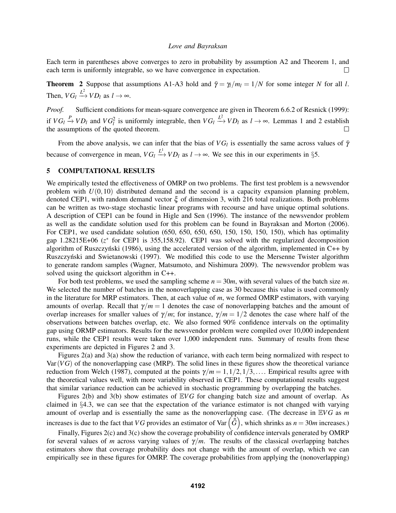Each term in parentheses above converges to zero in probability by assumption A2 and Theorem 1, and each term is uniformly integrable, so we have convergence in expectation.  $\Box$ 

**Theorem 2** Suppose that assumptions A1-A3 hold and  $\bar{\gamma} = \gamma_l/m_l = 1/N$  for some integer *N* for all *l*. Then,  $VG_l \xrightarrow{L^2} V D_l$  as  $l \to \infty$ .

*Proof.* Sufficient conditions for mean-square convergence are given in Theorem 6.6.2 of Resnick (1999): if  $VG_l \stackrel{P}{\to} VD_l$  and  $VG_l^2$  is uniformly integrable, then  $VG_l \stackrel{L^2}{\to} VD_l$  as  $l \to \infty$ . Lemmas 1 and 2 establish the assumptions of the quoted theorem.

From the above analysis, we can infer that the bias of  $VG<sub>l</sub>$  is essentially the same across values of  $\bar{\gamma}$ because of convergence in mean,  $VG_l \stackrel{L^1}{\longrightarrow} VD_l$  as  $l \to \infty$ . We see this in our experiments in §5.

# 5 COMPUTATIONAL RESULTS

We empirically tested the effectiveness of OMRP on two problems. The first test problem is a newsvendor problem with  $U(0,10)$  distributed demand and the second is a capacity expansion planning problem, denoted CEP1, with random demand vector ξ of dimension 3, with 216 total realizations. Both problems can be written as two-stage stochastic linear programs with recourse and have unique optimal solutions. A description of CEP1 can be found in Higle and Sen (1996). The instance of the newsvendor problem as well as the candidate solution used for this problem can be found in Bayraksan and Morton (2006). For CEP1, we used candidate solution (650, 650, 650, 650, 150, 150, 150, 150), which has optimality gap 1.28215E+06 (z<sup>\*</sup> for CEP1 is 355,158.92). CEP1 was solved with the regularized decomposition algorithm of Ruszczyński (1986), using the accelerated version of the algorithm, implemented in  $C++$  by Ruszczyński and Swietanowski (1997). We modified this code to use the Mersenne Twister algorithm to generate random samples (Wagner, Matsumoto, and Nishimura 2009). The newsvendor problem was solved using the quicksort algorithm in C++.

For both test problems, we used the sampling scheme  $n = 30m$ , with several values of the batch size m. We selected the number of batches in the nonoverlapping case as 30 because this value is used commonly in the literature for MRP estimators. Then, at each value of *m*, we formed OMRP estimators, with varying amounts of overlap. Recall that  $\gamma/m = 1$  denotes the case of nonoverlapping batches and the amount of overlap increases for smaller values of  $\gamma/m$ ; for instance,  $\gamma/m = 1/2$  denotes the case where half of the observations between batches overlap, etc. We also formed 90% confidence intervals on the optimality gap using ORMP estimators. Results for the newsvendor problem were compiled over 10,000 independent runs, while the CEP1 results were taken over 1,000 independent runs. Summary of results from these experiments are depicted in Figures 2 and 3.

Figures 2(a) and 3(a) show the reduction of variance, with each term being normalized with respect to Var(*V G*) of the nonoverlapping case (MRP). The solid lines in these figures show the theoretical variance reduction from Welch (1987), computed at the points  $\gamma/m = 1, 1/2, 1/3, \ldots$ . Empirical results agree with the theoretical values well, with more variability observed in CEP1. These computational results suggest that similar variance reduction can be achieved in stochastic programming by overlapping the batches.

Figures 2(b) and 3(b) show estimates of  $EVG$  for changing batch size and amount of overlap. As claimed in §4.3, we can see that the expectation of the variance estimator is not changed with varying amount of overlap and is essentially the same as the nonoverlapping case. (The decrease in E*V G* as *m* increases is due to the fact that *VG* provides an estimator of Var $(\bar{\bar{G}})$ , which shrinks as  $n = 30m$  increases.)

Finally, Figures 2(c) and 3(c) show the coverage probability of confidence intervals generated by OMRP for several values of *m* across varying values of  $\gamma/m$ . The results of the classical overlapping batches estimators show that coverage probability does not change with the amount of overlap, which we can empirically see in these figures for OMRP. The coverage probabilities from applying the (nonoverlapping)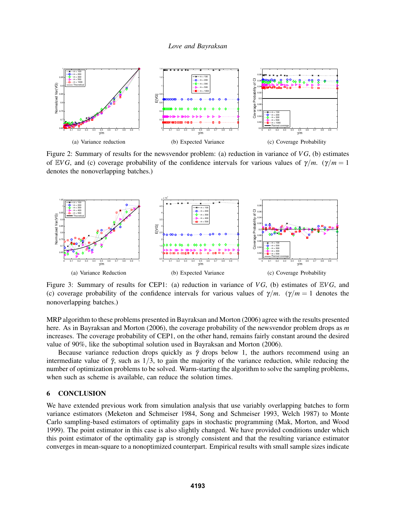

Figure 2: Summary of results for the newsvendor problem: (a) reduction in variance of *V G*, (b) estimates of EVG, and (c) coverage probability of the confidence intervals for various values of  $\gamma/m$ . ( $\gamma/m = 1$ denotes the nonoverlapping batches.)



Figure 3: Summary of results for CEP1: (a) reduction in variance of *V G*, (b) estimates of E*V G*, and (c) coverage probability of the confidence intervals for various values of  $\gamma/m$ . ( $\gamma/m = 1$  denotes the nonoverlapping batches.)

MRP algorithm to these problems presented in Bayraksan and Morton (2006) agree with the results presented here. As in Bayraksan and Morton (2006), the coverage probability of the newsvendor problem drops as *m* increases. The coverage probability of CEP1, on the other hand, remains fairly constant around the desired value of 90%, like the suboptimal solution used in Bayraksan and Morton (2006).

Because variance reduction drops quickly as  $\bar{\gamma}$  drops below 1, the authors recommend using an intermediate value of  $\bar{\gamma}$ , such as 1/3, to gain the majority of the variance reduction, while reducing the number of optimization problems to be solved. Warm-starting the algorithm to solve the sampling problems, when such as scheme is available, can reduce the solution times.

### 6 CONCLUSION

We have extended previous work from simulation analysis that use variably overlapping batches to form variance estimators (Meketon and Schmeiser 1984, Song and Schmeiser 1993, Welch 1987) to Monte Carlo sampling-based estimators of optimality gaps in stochastic programming (Mak, Morton, and Wood 1999). The point estimator in this case is also slightly changed. We have provided conditions under which this point estimator of the optimality gap is strongly consistent and that the resulting variance estimator converges in mean-square to a nonoptimized counterpart. Empirical results with small sample sizes indicate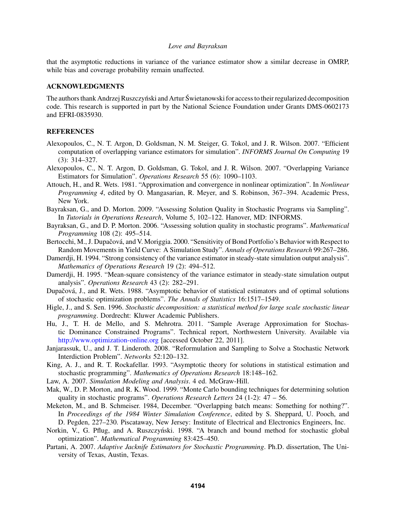that the asymptotic reductions in variance of the variance estimator show a similar decrease in OMRP, while bias and coverage probability remain unaffected.

### ACKNOWLEDGMENTS

The authors thank Andrzej Ruszczyński and Artur Świetanowski for access to their regularized decomposition code. This research is supported in part by the National Science Foundation under Grants DMS-0602173 and EFRI-0835930.

# **REFERENCES**

- Alexopoulos, C., N. T. Argon, D. Goldsman, N. M. Steiger, G. Tokol, and J. R. Wilson. 2007. "Efficient computation of overlapping variance estimators for simulation". *INFORMS Journal On Computing* 19 (3): 314–327.
- Alexopoulos, C., N. T. Argon, D. Goldsman, G. Tokol, and J. R. Wilson. 2007. "Overlapping Variance Estimators for Simulation". *Operations Research* 55 (6): 1090–1103.
- Attouch, H., and R. Wets. 1981. "Approximation and convergence in nonlinear optimization". In *Nonlinear Programming 4*, edited by O. Mangasarian, R. Meyer, and S. Robinson, 367–394. Academic Press, New York.
- Bayraksan, G., and D. Morton. 2009. "Assessing Solution Quality in Stochastic Programs via Sampling". In *Tutorials in Operations Research*, Volume 5, 102–122. Hanover, MD: INFORMS.
- Bayraksan, G., and D. P. Morton. 2006. "Assessing solution quality in stochastic programs". *Mathematical Programming* 108 (2): 495–514.
- Bertocchi, M., J. Dupačová, and V. Moriggia. 2000. "Sensitivity of Bond Portfolio's Behavior with Respect to Random Movements in Yield Curve: A Simulation Study". *Annals of Operations Research* 99:267–286.
- Damerdji, H. 1994. "Strong consistency of the variance estimator in steady-state simulation output analysis". *Mathematics of Operations Research* 19 (2): 494–512.
- Damerdji, H. 1995. "Mean-square consistency of the variance estimator in steady-state simulation output analysis". *Operations Research* 43 (2): 282–291.
- Dupačová, J., and R. Wets. 1988. "Asymptotic behavior of statistical estimators and of optimal solutions of stochastic optimization problems". *The Annals of Statistics* 16:1517–1549.
- Higle, J., and S. Sen. 1996. *Stochastic decomposition: a statistical method for large scale stochastic linear programming*. Dordrecht: Kluwer Academic Publishers.
- Hu, J., T. H. de Mello, and S. Mehrotra. 2011. "Sample Average Approximation for Stochastic Dominance Constrained Programs". Technical report, Northwestern University. Available via http://www.optimization-online.org [accessed October 22, 2011].
- Janjarassuk, U., and J. T. Linderoth. 2008. "Reformulation and Sampling to Solve a Stochastic Network Interdiction Problem". *Networks* 52:120–132.
- King, A. J., and R. T. Rockafellar. 1993. "Asymptotic theory for solutions in statistical estimation and stochastic programming". *Mathematics of Operations Research* 18:148–162.
- Law, A. 2007. *Simulation Modeling and Analysis*. 4 ed. McGraw-Hill.
- Mak, W., D. P. Morton, and R. K. Wood. 1999. "Monte Carlo bounding techniques for determining solution quality in stochastic programs". *Operations Research Letters* 24 (1-2): 47 – 56.
- Meketon, M., and B. Schmeiser. 1984, December. "Overlapping batch means: Something for nothing?". In *Proceedings of the 1984 Winter Simulation Conference*, edited by S. Sheppard, U. Pooch, and D. Pegden, 227–230. Piscataway, New Jersey: Institute of Electrical and Electronics Engineers, Inc.
- Norkin, V., G. Pflug, and A. Ruszczyński. 1998. "A branch and bound method for stochastic global optimization". *Mathematical Programming* 83:425–450.
- Partani, A. 2007. *Adaptive Jacknife Estimators for Stochastic Programming*. Ph.D. dissertation, The University of Texas, Austin, Texas.